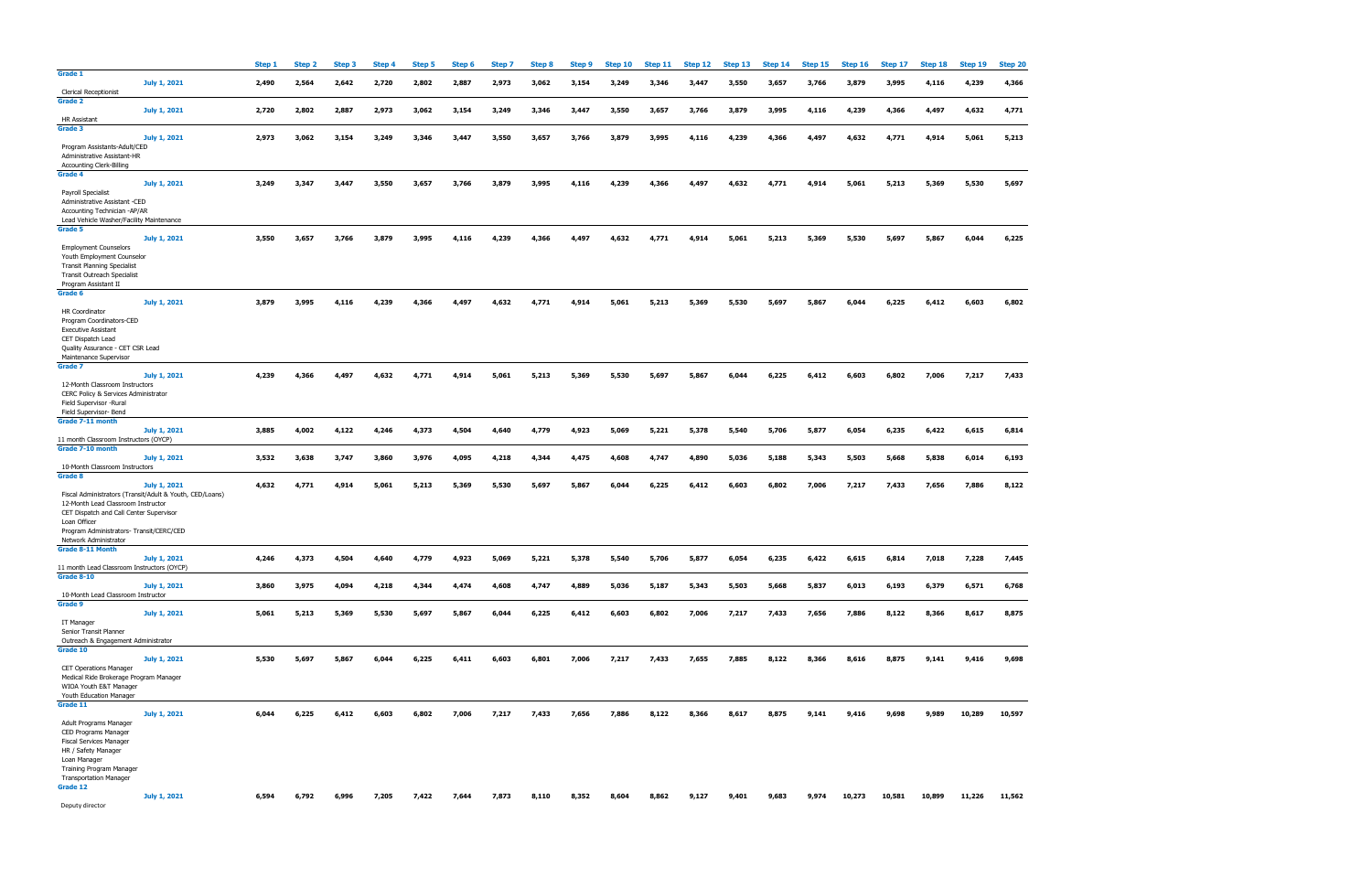| Grade 1                                                                                                                                                     | Step 1 | Step 2 | Step 3 | Step 4 | Step 5 | Step 6 | Step 7 | Step 8 |       |       |       |       |       |       |       |        | Step 9 Step 10 Step 11 Step 12 Step 13 Step 14 Step 15 Step 16 Step 17 Step 18 Step 19 Step 20 |        |               |        |
|-------------------------------------------------------------------------------------------------------------------------------------------------------------|--------|--------|--------|--------|--------|--------|--------|--------|-------|-------|-------|-------|-------|-------|-------|--------|------------------------------------------------------------------------------------------------|--------|---------------|--------|
| July 1, 2021<br><b>Clerical Receptionist</b>                                                                                                                | 2,490  | 2,564  | 2,642  | 2,720  | 2,802  | 2,887  | 2,973  | 3,062  | 3,154 | 3,249 | 3,346 | 3,447 | 3,550 | 3,657 | 3,766 | 3,879  | 3,995                                                                                          | 4,116  | 4,239         | 4,366  |
| Grade 2<br>July 1, 2021                                                                                                                                     | 2,720  | 2,802  | 2,887  | 2,973  | 3,062  | 3,154  | 3,249  | 3,346  | 3,447 | 3,550 | 3,657 | 3,766 | 3,879 | 3,995 | 4,116 | 4,239  | 4,366                                                                                          | 4,497  | 4,632         | 4,771  |
| HR Assistant<br>Grade 3                                                                                                                                     |        |        |        |        |        |        |        |        |       |       |       |       |       |       |       |        |                                                                                                |        |               |        |
| July 1, 2021<br>Program Assistants-Adult/CED<br>Administrative Assistant-HR                                                                                 | 2,973  | 3,062  | 3,154  | 3,249  | 3,346  | 3,447  | 3,550  | 3,657  | 3,766 | 3,879 | 3,995 | 4,116 | 4,239 | 4,366 | 4,497 | 4,632  | 4,771                                                                                          | 4,914  | 5,061         | 5,213  |
| <b>Accounting Clerk-Billing</b><br>Grade 4                                                                                                                  |        |        |        |        |        |        |        |        |       |       |       |       |       |       |       |        |                                                                                                |        |               |        |
| July 1, 2021<br>Payroll Specialist<br>Administrative Assistant -CED                                                                                         | 3,249  | 3,347  | 3,447  | 3,550  | 3,657  | 3.766  | 3,879  | 3,995  | 4,116 | 4,239 | 4,366 | 4,497 | 4,632 | 4,771 | 4,914 | 5,061  | 5,213                                                                                          | 5,369  | 5,530         | 5,697  |
| Accounting Technician -AP/AR<br>Lead Vehicle Washer/Facility Maintenance                                                                                    |        |        |        |        |        |        |        |        |       |       |       |       |       |       |       |        |                                                                                                |        |               |        |
| Grade 5<br>July 1, 2021                                                                                                                                     | 3,550  | 3,657  | 3,766  | 3,879  | 3,995  | 4,116  | 4,239  | 4.366  | 4,497 | 4,632 | 4,771 | 4,914 | 5,061 | 5,213 | 5,369 | 5,530  | 5,697                                                                                          | 5,867  | 6,044         | 6,225  |
| <b>Employment Counselors</b><br>Youth Employment Counselor<br><b>Transit Planning Specialist</b><br>Transit Outreach Specialist<br>Program Assistant II     |        |        |        |        |        |        |        |        |       |       |       |       |       |       |       |        |                                                                                                |        |               |        |
| Grade 6<br>July 1, 2021                                                                                                                                     | 3,879  | 3,995  | 4,116  | 4,239  | 4,366  | 4,497  | 4,632  | 4,771  | 4,914 | 5,061 | 5,213 | 5,369 | 5,530 | 5,697 | 5,867 | 6,044  | 6,225                                                                                          | 6,412  | 6,603         | 6,802  |
| HR Coordinator<br>Program Coordinators-CED<br><b>Executive Assistant</b><br>CET Dispatch Lead<br>Quality Assurance - CET CSR Lead<br>Maintenance Supervisor |        |        |        |        |        |        |        |        |       |       |       |       |       |       |       |        |                                                                                                |        |               |        |
| Grade 7<br>July 1, 2021                                                                                                                                     | 4,239  | 4.366  | 4,497  | 4,632  | 4,771  | 4,914  | 5,061  | 5,213  | 5,369 | 5,530 | 5,697 | 5,867 | 6,044 | 6,225 | 6,412 | 6,603  | 6,802                                                                                          | 7,006  | 7,217         | 7,433  |
| 12-Month Classroom Instructors<br>CERC Policy & Services Administrator<br>Field Supervisor -Rural                                                           |        |        |        |        |        |        |        |        |       |       |       |       |       |       |       |        |                                                                                                |        |               |        |
| Field Supervisor- Bend<br>Grade 7-11 month                                                                                                                  |        |        |        |        |        |        |        |        |       |       |       |       |       |       |       |        |                                                                                                |        |               |        |
| July 1, 2021<br>11 month Classroom Instructors (OYCP)                                                                                                       | 3,885  | 4,002  | 4,122  | 4,246  | 4,373  | 4,504  | 4,640  | 4,779  | 4,923 | 5,069 | 5,221 | 5,378 | 5,540 | 5,706 | 5,877 | 6,054  | 6,235                                                                                          | 6,422  | 6,615         | 6,814  |
| Grade 7-10 month                                                                                                                                            |        |        |        |        |        |        |        |        |       |       |       |       |       |       |       |        |                                                                                                |        |               |        |
| July 1, 2021<br>10-Month Classroom Instructors                                                                                                              | 3,532  | 3,638  | 3,747  | 3,860  | 3,976  | 4,095  | 4,218  | 4,344  | 4,475 | 4,608 | 4,747 | 4,890 | 5,036 | 5,188 | 5,343 | 5,503  | 5,668                                                                                          | 5,838  | 6,014         | 6,193  |
|                                                                                                                                                             |        |        |        |        |        |        |        |        |       |       |       |       |       |       |       |        |                                                                                                |        |               |        |
| Grade 8<br>July 1, 2021<br>Fiscal Administrators (Transit/Adult & Youth, CED/Loans)<br>12-Month Lead Classroom Instructor                                   | 4,632  | 4,771  | 4,914  | 5,061  | 5,213  | 5,369  | 5,530  | 5,697  | 5,867 | 6.044 | 6,225 | 6,412 | 6,603 | 6,802 | 7,006 | 7,217  | 7,433                                                                                          | 7,656  | 7,886         | 8,122  |
| CET Dispatch and Call Center Supervisor<br>Loan Officer<br>Program Administrators- Transit/CERC/CED                                                         |        |        |        |        |        |        |        |        |       |       |       |       |       |       |       |        |                                                                                                |        |               |        |
| Network Administrator<br><b>Grade 8-11 Month</b>                                                                                                            |        |        |        |        |        |        |        |        |       |       |       |       |       |       |       |        |                                                                                                |        |               |        |
| July 1, 2021                                                                                                                                                | 4,246  | 4,373  | 4,504  | 4,640  | 4,779  | 4,923  | 5,069  | 5,221  | 5,378 | 5,540 | 5,706 | 5,877 | 6,054 | 6,235 | 6,422 | 6,615  | 6,814                                                                                          | 7,018  | 7,228         | 7,445  |
| 11 month Lead Classroom Instructors (OYCP)<br><b>Grade 8-10</b><br>July 1, 2021                                                                             | 3,860  | 3,975  | 4,094  | 4,218  | 4,344  | 4,474  | 4,608  | 4,747  | 4,889 | 5,036 | 5,187 | 5,343 | 5,503 | 5,668 | 5,837 | 6,013  | 6,193                                                                                          | 6,379  | 6,571         | 6,768  |
| 10-Month Lead Classroom Instructor<br>Grade 9                                                                                                               |        |        |        |        |        |        |        |        |       |       |       |       |       |       |       |        |                                                                                                |        |               |        |
| July 1, 2021<br>IT Manager                                                                                                                                  | 5,061  | 5,213  | 5,369  | 5,530  | 5,697  | 5,867  | 6,044  | 6,225  | 6,412 | 6,603 | 6,802 | 7,006 | 7,217 | 7,433 | 7,656 | 7,886  | 8,122                                                                                          | 8,366  | 8,617         | 8,875  |
| Senior Transit Planner<br>Outreach & Engagement Administrator                                                                                               |        |        |        |        |        |        |        |        |       |       |       |       |       |       |       |        |                                                                                                |        |               |        |
| Grade 10<br>July 1, 2021                                                                                                                                    | 5,530  | 5,697  | 5,867  | 6,044  | 6,225  | 6,411  | 6,603  | 6,801  | 7,006 | 7,217 | 7,433 | 7,655 | 7,885 | 8,122 | 8,366 | 8,616  | 8,875                                                                                          | 9,141  | 9,416         | 9,698  |
| <b>CET Operations Manager</b><br>Medical Ride Brokerage Program Manager<br>WIOA Youth E&T Manager<br>Youth Education Manager                                |        |        |        |        |        |        |        |        |       |       |       |       |       |       |       |        |                                                                                                |        |               |        |
| Grade 11<br>July 1, 2021                                                                                                                                    | 6,044  | 6,225  | 6,412  | 6,603  | 6,802  | 7,006  | 7,217  | 7,433  | 7,656 | 7,886 | 8,122 | 8,366 | 8,617 | 8,875 | 9,141 | 9,416  | 9,698                                                                                          | 9,989  | 10,289        | 10,597 |
| Adult Programs Manager<br>CED Programs Manager                                                                                                              |        |        |        |        |        |        |        |        |       |       |       |       |       |       |       |        |                                                                                                |        |               |        |
| <b>Fiscal Services Manager</b><br>HR / Safety Manager                                                                                                       |        |        |        |        |        |        |        |        |       |       |       |       |       |       |       |        |                                                                                                |        |               |        |
| Loan Manager<br>Training Program Manager                                                                                                                    |        |        |        |        |        |        |        |        |       |       |       |       |       |       |       |        |                                                                                                |        |               |        |
| <b>Transportation Manager</b><br>Grade 12<br>July 1, 2021                                                                                                   | 6,594  | 6,792  | 6,996  | 7,205  | 7,422  | 7,644  | 7,873  | 8,110  | 8,352 | 8,604 |       | 9,127 | 9,401 | 9,683 | 9,974 | 10,273 | 10,581                                                                                         | 10,899 | 11,226 11,562 |        |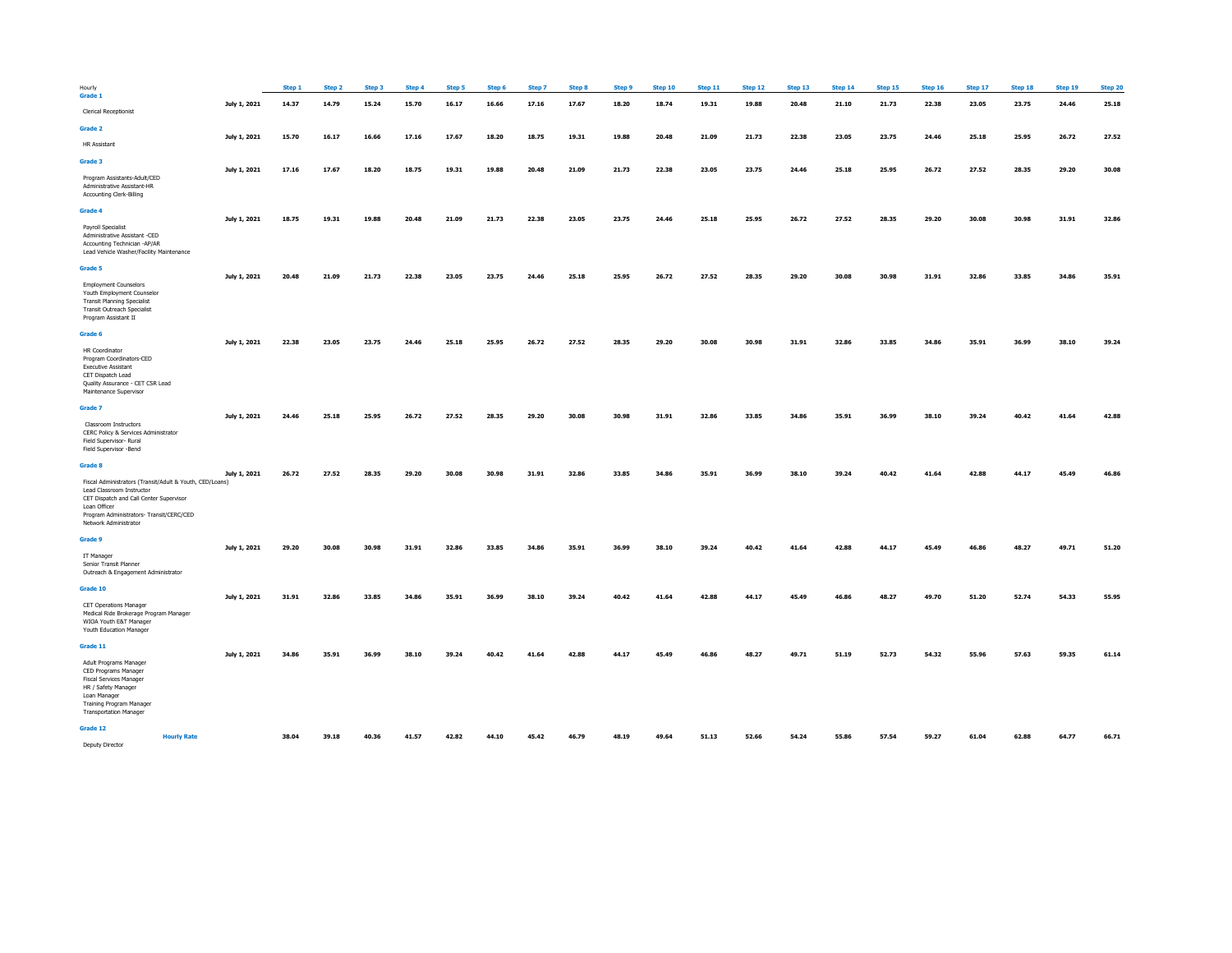| Hourly                                                                                                                                                                                                                |              | Step 1 | Step 2 | Step 3 | Step 4 | Step 5 | Step 6 | Step 7 | Step 8 | Step 9 | Step 10 | Step 11 | Step 12 | Step 13 | Step 14 | Step 15 | Step 16 | Step 17 | Step 18 | Step 19 | Step 20 |
|-----------------------------------------------------------------------------------------------------------------------------------------------------------------------------------------------------------------------|--------------|--------|--------|--------|--------|--------|--------|--------|--------|--------|---------|---------|---------|---------|---------|---------|---------|---------|---------|---------|---------|
| Grade 1<br><b>Clerical Receptionist</b>                                                                                                                                                                               | July 1, 2021 | 14.37  | 14.79  | 15.24  | 15.70  | 16.17  | 16.66  | 17.16  | 17.67  | 18.20  | 18.74   | 19.31   | 19.88   | 20.48   | 21.10   | 21.73   | 22.38   | 23.05   | 23.75   | 24.46   | 25.18   |
|                                                                                                                                                                                                                       |              |        |        |        |        |        |        |        |        |        |         |         |         |         |         |         |         |         |         |         |         |
| Grade 2                                                                                                                                                                                                               | July 1, 2021 | 15.70  | 16.17  | 16.66  | 17.16  | 17.67  | 18.20  | 18.75  | 19.31  | 19.88  | 20.48   | 21.09   | 21.73   | 22.38   | 23.05   | 23.75   | 24.46   | 25.18   | 25.95   | 26.72   | 27.52   |
| <b>HR Assistant</b>                                                                                                                                                                                                   |              |        |        |        |        |        |        |        |        |        |         |         |         |         |         |         |         |         |         |         |         |
| Grade 3                                                                                                                                                                                                               | July 1, 2021 | 17.16  | 17.67  | 18.20  | 18.75  | 19.31  | 19.88  | 20.48  | 21.09  | 21.73  | 22.38   | 23.05   | 23.75   | 24.46   | 25.18   | 25.95   | 26.72   | 27.52   | 28.35   | 29.20   | 30.08   |
| Program Assistants-Adult/CED<br>Administrative Assistant-HR<br>Accounting Clerk-Billing                                                                                                                               |              |        |        |        |        |        |        |        |        |        |         |         |         |         |         |         |         |         |         |         |         |
| Grade 4                                                                                                                                                                                                               |              |        |        |        |        |        |        |        |        |        |         |         |         |         |         |         |         |         |         |         |         |
| Payroll Specialist<br>Administrative Assistant -CED<br>Accounting Technician -AP/AR<br>Lead Vehicle Washer/Facility Maintenance                                                                                       | July 1, 2021 | 18.75  | 19.31  | 19.88  | 20.48  | 21.09  | 21.73  | 22.38  | 23.05  | 23.75  | 24.46   | 25.18   | 25.95   | 26.72   | 27.52   | 28.35   | 29.20   | 30.08   | 30.98   | 31.91   | 32.86   |
| Grade 5                                                                                                                                                                                                               |              |        |        |        |        |        |        |        |        |        |         |         |         |         |         |         |         |         |         |         |         |
| <b>Employment Counselors</b><br>Youth Employment Counselor<br><b>Transit Planning Specialist</b><br><b>Transit Outreach Specialist</b><br>Program Assistant II                                                        | July 1, 2021 | 20.48  | 21.09  | 21.73  | 22.38  | 23.05  | 23.75  | 24.46  | 25.18  | 25.95  | 26.72   | 27.52   | 28.35   | 29.20   | 30.08   | 30.98   | 31.91   | 32.86   | 33.85   | 34.86   | 35.91   |
| Grade 6                                                                                                                                                                                                               |              |        |        |        |        |        |        |        |        |        |         |         |         |         |         |         |         |         |         |         |         |
| <b>HR Coordinator</b><br>Program Coordinators-CED<br><b>Executive Assistant</b><br>CET Dispatch Lead<br>Quality Assurance - CET CSR Lead<br>Maintenance Supervisor                                                    | July 1, 2021 | 22.38  | 23.05  | 23.75  | 24.46  | 25.18  | 25.95  | 26.72  | 27.52  | 28.35  | 29.20   | 30.08   | 30.98   | 31.91   | 32.86   | 33.85   | 34.86   | 35.91   | 36.99   | 38.10   | 39.24   |
| Grade 7                                                                                                                                                                                                               |              |        |        |        |        |        |        |        |        |        |         |         |         |         |         |         |         |         |         |         |         |
| Classroom Instructors<br>CERC Policy & Services Administrator<br>Field Supervisor- Rural<br>Field Supervisor -Bend                                                                                                    | July 1, 2021 | 24.46  | 25.18  | 25.95  | 26.72  | 27.52  | 28.35  | 29.20  | 30.08  | 30.98  | 31.91   | 32.86   | 33.85   | 34.86   | 35.91   | 36.99   | 38.10   | 39.24   | 40.42   | 41.64   | 42.88   |
| Grade 8                                                                                                                                                                                                               |              |        |        |        |        |        |        |        |        |        |         |         |         |         |         |         |         |         |         |         |         |
| Fiscal Administrators (Transit/Adult & Youth, CED/Loans)<br>Lead Classroom Instructor<br>CET Dispatch and Call Center Supervisor<br>Loan Officer<br>Program Administrators- Transit/CERC/CED<br>Network Administrator | July 1, 2021 | 26.72  | 27.52  | 28.35  | 29.20  | 30.08  | 30.98  | 31.91  | 32.86  | 33.85  | 34.86   | 35.91   | 36.99   | 38.10   | 39.24   | 40.42   | 41.64   | 42.88   | 44.17   | 45.49   | 46.86   |
| Grade 9                                                                                                                                                                                                               |              |        |        |        |        |        |        |        |        |        |         |         |         |         |         |         |         |         |         |         |         |
| IT Manager<br>Senior Transit Planner<br>Outreach & Engagement Administrator                                                                                                                                           | July 1, 2021 | 29.20  | 30.08  | 30.98  | 31.91  | 32.86  | 33.85  | 34.86  | 35.91  | 36.99  | 38.10   | 39.24   | 40.42   | 41.64   | 42.88   | 44.17   | 45.49   | 46.86   | 48.27   | 49.71   | 51.20   |
| Grade 10                                                                                                                                                                                                              |              |        |        |        |        |        |        |        |        |        |         |         |         |         |         |         |         |         |         |         |         |
| <b>CET Operations Manager</b><br>Medical Ride Brokerage Program Manager<br>WIOA Youth E&T Manager<br>Youth Education Manager                                                                                          | July 1, 2021 | 31.91  | 32.86  | 33.85  | 34.86  | 35.91  | 36.99  | 38.10  | 39.24  | 40.42  | 41.64   | 42.88   | 44.17   | 45.49   | 46.86   | 48.27   | 49.70   | 51.20   | 52.74   | 54.33   | 55.95   |
| Grade 11                                                                                                                                                                                                              | July 1, 2021 | 34.86  | 35.91  | 36.99  | 38.10  | 39.24  | 40.42  | 41.64  | 42.88  | 44.17  | 45.49   | 46.86   | 48.27   | 49.71   | 51.19   | 52.73   | 54.32   | 55.96   | 57.63   | 59.35   | 61.14   |
| Adult Programs Manager<br>CED Programs Manager<br><b>Fiscal Services Manager</b><br>HR / Safety Manager<br>Loan Manager<br>Training Program Manager<br><b>Transportation Manager</b>                                  |              |        |        |        |        |        |        |        |        |        |         |         |         |         |         |         |         |         |         |         |         |
| Grade 12                                                                                                                                                                                                              |              |        |        |        |        |        |        |        |        |        |         |         |         |         |         |         |         |         |         |         |         |
| <b>Hourly Rate</b><br>Deputy Director                                                                                                                                                                                 |              | 38.04  | 39.18  | 40.36  | 41.57  | 42.82  | 44.10  | 45.42  | 46.79  | 48.19  | 49.64   | 51.13   | 52.66   | 54.24   | 55.86   | 57.54   | 59.27   | 61.04   | 62.88   | 64.77   | 66.71   |